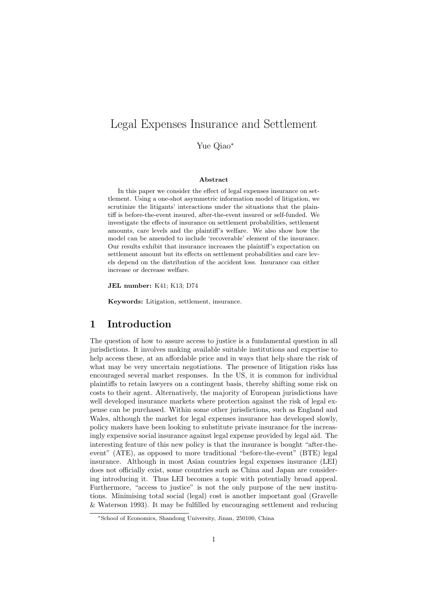# Legal Expenses Insurance and Settlement

Yue Qiao<sup>∗</sup>

### Abstract

In this paper we consider the effect of legal expenses insurance on settlement. Using a one-shot asymmetric information model of litigation, we scrutinize the litigants' interactions under the situations that the plaintiff is before-the-event insured, after-the-event insured or self-funded. We investigate the effects of insurance on settlement probabilities, settlement amounts, care levels and the plaintiff's welfare. We also show how the model can be amended to include 'recoverable' element of the insurance. Our results exhibit that insurance increases the plaintiff's expectation on settlement amount but its effects on settlement probabilities and care levels depend on the distribution of the accident loss. Insurance can either increase or decrease welfare.

JEL number: K41; K13; D74

Keywords: Litigation, settlement, insurance.

# 1 Introduction

The question of how to assure access to justice is a fundamental question in all jurisdictions. It involves making available suitable institutions and expertise to help access these, at an affordable price and in ways that help share the risk of what may be very uncertain negotiations. The presence of litigation risks has encouraged several market responses. In the US, it is common for individual plaintiffs to retain lawyers on a contingent basis, thereby shifting some risk on costs to their agent. Alternatively, the majority of European jurisdictions have well developed insurance markets where protection against the risk of legal expense can be purchased. Within some other jurisdictions, such as England and Wales, although the market for legal expenses insurance has developed slowly, policy makers have been looking to substitute private insurance for the increasingly expensive social insurance against legal expense provided by legal aid. The interesting feature of this new policy is that the insurance is bought "after-theevent" (ATE), as opposed to more traditional "before-the-event" (BTE) legal insurance. Although in most Asian countries legal expenses insurance (LEI) does not officially exist, some countries such as China and Japan are considering introducing it. Thus LEI becomes a topic with potentially broad appeal. Furthermore, "access to justice" is not the only purpose of the new institutions. Minimising total social (legal) cost is another important goal (Gravelle & Waterson 1993). It may be fulfilled by encouraging settlement and reducing

<sup>∗</sup>School of Economics, Shandong University, Jinan, 250100, China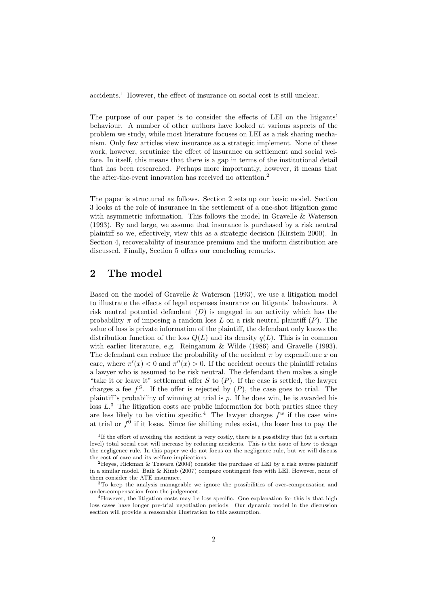accidents.<sup>1</sup> However, the effect of insurance on social cost is still unclear.

The purpose of our paper is to consider the effects of LEI on the litigants' behaviour. A number of other authors have looked at various aspects of the problem we study, while most literature focuses on LEI as a risk sharing mechanism. Only few articles view insurance as a strategic implement. None of these work, however, scrutinize the effect of insurance on settlement and social welfare. In itself, this means that there is a gap in terms of the institutional detail that has been researched. Perhaps more importantly, however, it means that the after-the-event innovation has received no attention.<sup>2</sup>

The paper is structured as follows. Section 2 sets up our basic model. Section 3 looks at the role of insurance in the settlement of a one-shot litigation game with asymmetric information. This follows the model in Gravelle & Waterson (1993). By and large, we assume that insurance is purchased by a risk neutral plaintiff so we, effectively, view this as a strategic decision (Kirstein 2000). In Section 4, recoverability of insurance premium and the uniform distribution are discussed. Finally, Section 5 offers our concluding remarks.

# 2 The model

Based on the model of Gravelle & Waterson (1993), we use a litigation model to illustrate the effects of legal expenses insurance on litigants' behaviours. A risk neutral potential defendant  $(D)$  is engaged in an activity which has the probability  $\pi$  of imposing a random loss L on a risk neutral plaintiff (P). The value of loss is private information of the plaintiff, the defendant only knows the distribution function of the loss  $Q(L)$  and its density  $q(L)$ . This is in common with earlier literature, e.g. Reinganum & Wilde (1986) and Gravelle (1993). The defendant can reduce the probability of the accident  $\pi$  by expenditure x on care, where  $\pi'(x) < 0$  and  $\pi''(x) > 0$ . If the accident occurs the plaintiff retains a lawyer who is assumed to be risk neutral. The defendant then makes a single "take it or leave it" settlement offer  $S$  to  $(P)$ . If the case is settled, the lawyer charges a fee  $f^S$ . If the offer is rejected by  $(P)$ , the case goes to trial. The plaintiff's probability of winning at trial is  $p$ . If he does win, he is awarded his loss  $L^3$ . The litigation costs are public information for both parties since they are less likely to be victim specific.<sup>4</sup> The lawyer charges  $f^w$  if the case wins at trial or  $f^0$  if it loses. Since fee shifting rules exist, the loser has to pay the

<sup>&</sup>lt;sup>1</sup>If the effort of avoiding the accident is very costly, there is a possibility that (at a certain level) total social cost will increase by reducing accidents. This is the issue of how to design the negligence rule. In this paper we do not focus on the negligence rule, but we will discuss the cost of care and its welfare implications.

<sup>&</sup>lt;sup>2</sup>Heyes, Rickman & Tzavara (2004) consider the purchase of LEI by a risk averse plaintiff in a similar model. Baik & Kimb (2007) compare contingent fees with LEI. However, none of them consider the ATE insurance.

<sup>3</sup>To keep the analysis manageable we ignore the possibilities of over-compensation and under-compensation from the judgement.

 $4$ However, the litigation costs may be loss specific. One explanation for this is that high loss cases have longer pre-trial negotiation periods. Our dynamic model in the discussion section will provide a reasonable illustration to this assumption.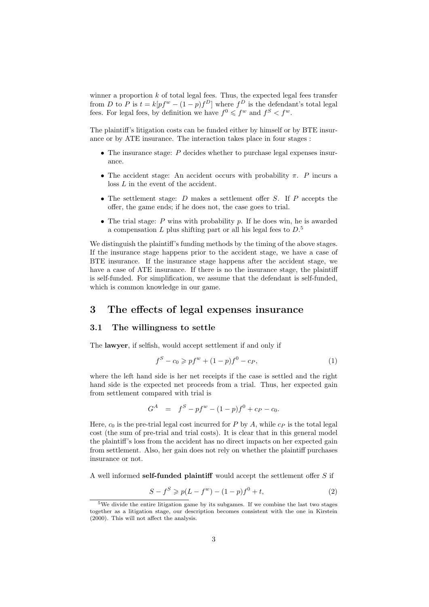winner a proportion  $k$  of total legal fees. Thus, the expected legal fees transfer from D to P is  $t = k[pf^w - (1-p)f^D]$  where  $f^D$  is the defendant's total legal fees. For legal fees, by definition we have  $f^0 \leqslant f^w$  and  $f^S < f^w$ .

The plaintiff's litigation costs can be funded either by himself or by BTE insurance or by ATE insurance. The interaction takes place in four stages :

- The insurance stage: P decides whether to purchase legal expenses insurance.
- The accident stage: An accident occurs with probability  $\pi$ . P incurs a loss L in the event of the accident.
- The settlement stage:  $D$  makes a settlement offer  $S$ . If  $P$  accepts the offer, the game ends; if he does not, the case goes to trial.
- The trial stage:  $P$  wins with probability  $p$ . If he does win, he is awarded a compensation  $L$  plus shifting part or all his legal fees to  $D<sup>5</sup>$ .

We distinguish the plaintiff's funding methods by the timing of the above stages. If the insurance stage happens prior to the accident stage, we have a case of BTE insurance. If the insurance stage happens after the accident stage, we have a case of ATE insurance. If there is no the insurance stage, the plaintiff is self-funded. For simplification, we assume that the defendant is self-funded, which is common knowledge in our game.

### 3 The effects of legal expenses insurance

### 3.1 The willingness to settle

The lawyer, if selfish, would accept settlement if and only if

$$
f^{S} - c_{0} \geqslant pf^{w} + (1 - p)f^{0} - c_{P}, \tag{1}
$$

where the left hand side is her net receipts if the case is settled and the right hand side is the expected net proceeds from a trial. Thus, her expected gain from settlement compared with trial is

$$
G^A = f^S - pf^w - (1 - p)f^0 + c_P - c_0.
$$

Here,  $c_0$  is the pre-trial legal cost incurred for P by A, while  $c_P$  is the total legal cost (the sum of pre-trial and trial costs). It is clear that in this general model the plaintiff's loss from the accident has no direct impacts on her expected gain from settlement. Also, her gain does not rely on whether the plaintiff purchases insurance or not.

A well informed self-funded plaintiff would accept the settlement offer  $S$  if

$$
S - f^S \ge p(L - f^w) - (1 - p)f^0 + t,\tag{2}
$$

<sup>5</sup>We divide the entire litigation game by its subgames. If we combine the last two stages together as a litigation stage, our description becomes consistent with the one in Kirstein (2000). This will not affect the analysis.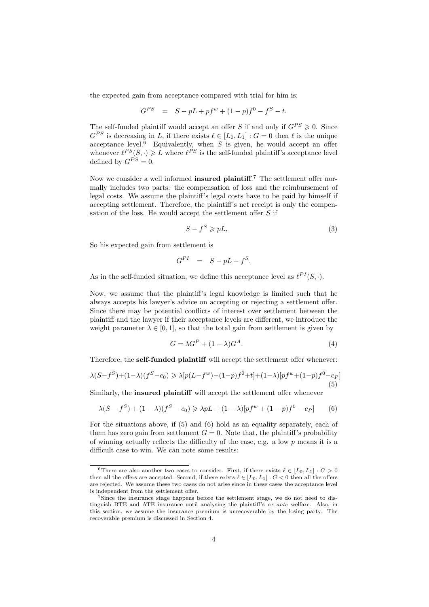the expected gain from acceptance compared with trial for him is:

$$
G^{PS} = S - pL + pf^{w} + (1 - p)f^{0} - f^{S} - t.
$$

The self-funded plaintiff would accept an offer S if and only if  $G^{PS} \geq 0$ . Since  $G^{PS}$  is decreasing in L, if there exists  $\ell \in [L_0, L_1] : G = 0$  then  $\ell$  is the unique acceptance level.<sup> $\vec{6}$ </sup> Equivalently, when S is given, he would accept an offer whenever  $\ell^{PS}(S, \cdot) \geq L$  where  $\ell^{PS}$  is the self-funded plaintiff's acceptance level defined by  $G^{PS} = 0$ .

Now we consider a well informed **insured plaintiff**.<sup>7</sup> The settlement offer normally includes two parts: the compensation of loss and the reimbursement of legal costs. We assume the plaintiff's legal costs have to be paid by himself if accepting settlement. Therefore, the plaintiff's net receipt is only the compensation of the loss. He would accept the settlement offer  $S$  if

$$
S - f^S \geqslant pL,\tag{3}
$$

So his expected gain from settlement is

$$
G^{PI} = S - pL - f^S.
$$

As in the self-funded situation, we define this acceptance level as  $\ell^{PI}(S, \cdot)$ .

Now, we assume that the plaintiff's legal knowledge is limited such that he always accepts his lawyer's advice on accepting or rejecting a settlement offer. Since there may be potential conflicts of interest over settlement between the plaintiff and the lawyer if their acceptance levels are different, we introduce the weight parameter  $\lambda \in [0,1]$ , so that the total gain from settlement is given by

$$
G = \lambda G^P + (1 - \lambda)G^A. \tag{4}
$$

Therefore, the self-funded plaintiff will accept the settlement offer whenever:

$$
\lambda(S - f^S) + (1 - \lambda)(f^S - c_0) \ge \lambda [p(L - f^w) - (1 - p)f^0 + t] + (1 - \lambda)[pf^w + (1 - p)f^0 - c_P]
$$
\n(5)

Similarly, the **insured plaintiff** will accept the settlement offer whenever

$$
\lambda(S - f^S) + (1 - \lambda)(f^S - c_0) \ge \lambda pL + (1 - \lambda)[pf^w + (1 - p)f^0 - c_P] \tag{6}
$$

For the situations above, if (5) and (6) hold as an equality separately, each of them has zero gain from settlement  $G = 0$ . Note that, the plaintiff's probability of winning actually reflects the difficulty of the case, e.g. a low  $p$  means it is a difficult case to win. We can note some results:

<sup>&</sup>lt;sup>6</sup>There are also another two cases to consider. First, if there exists  $\ell \in [L_0, L_1] : G > 0$ then all the offers are accepted. Second, if there exists  $\ell \in [L_0, L_1] : G < 0$  then all the offers are rejected. We assume these two cases do not arise since in these cases the acceptance level is independent from the settlement offer.

<sup>&</sup>lt;sup>7</sup>Since the insurance stage happens before the settlement stage, we do not need to distinguish BTE and ATE insurance until analysing the plaintiff's ex ante welfare. Also, in this section, we assume the insurance premium is unrecoverable by the losing party. The recoverable premium is discussed in Section 4.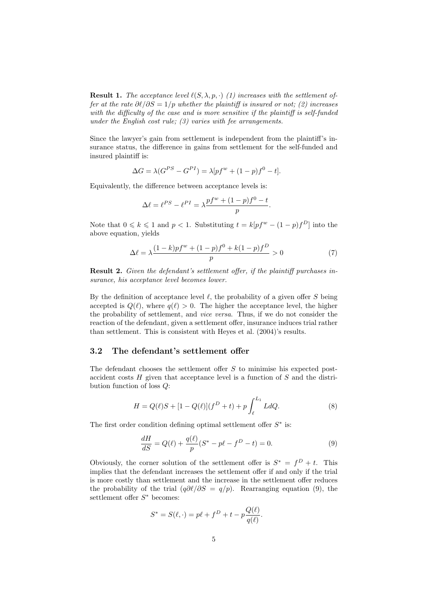**Result 1.** The acceptance level  $\ell(S, \lambda, p, \cdot)$  (1) increases with the settlement offer at the rate  $\partial\ell/\partial S = 1/p$  whether the plaintiff is insured or not; (2) increases with the difficulty of the case and is more sensitive if the plaintiff is self-funded under the English cost rule;  $(3)$  varies with fee arrangements.

Since the lawyer's gain from settlement is independent from the plaintiff's insurance status, the difference in gains from settlement for the self-funded and insured plaintiff is:

$$
\Delta G = \lambda (G^{PS} - G^{PI}) = \lambda [pf^{w} + (1 - p)f^{0} - t].
$$

Equivalently, the difference between acceptance levels is:

$$
\Delta \ell = \ell^{PS} - \ell^{PI} = \lambda \frac{pf^w + (1-p)f^0 - t}{p}.
$$

Note that  $0 \leq k \leq 1$  and  $p < 1$ . Substituting  $t = k[pf^w - (1-p)f^D]$  into the above equation, yields

$$
\Delta \ell = \lambda \frac{(1-k)pf^{w} + (1-p)f^{0} + k(1-p)f^{D}}{p} > 0
$$
\n(7)

Result 2. Given the defendant's settlement offer, if the plaintiff purchases insurance, his acceptance level becomes lower.

By the definition of acceptance level  $\ell$ , the probability of a given offer S being accepted is  $Q(\ell)$ , where  $q(\ell) > 0$ . The higher the acceptance level, the higher the probability of settlement, and vice versa. Thus, if we do not consider the reaction of the defendant, given a settlement offer, insurance induces trial rather than settlement. This is consistent with Heyes et al. (2004)'s results.

### 3.2 The defendant's settlement offer

The defendant chooses the settlement offer  $S$  to minimise his expected postaccident costs H given that acceptance level is a function of S and the distribution function of loss Q:

$$
H = Q(\ell)S + [1 - Q(\ell)](f^{D} + t) + p \int_{\ell}^{L_1} L dQ.
$$
 (8)

The first order condition defining optimal settlement offer  $S^*$  is:

$$
\frac{dH}{dS} = Q(\ell) + \frac{q(\ell)}{p}(S^* - p\ell - f^D - t) = 0.
$$
\n(9)

Obviously, the corner solution of the settlement offer is  $S^* = f^D + t$ . This implies that the defendant increases the settlement offer if and only if the trial is more costly than settlement and the increase in the settlement offer reduces the probability of the trial  $(q\partial l/\partial S = q/p)$ . Rearranging equation (9), the settlement offer  $S^*$  becomes:

$$
S^* = S(\ell, \cdot) = p\ell + f^D + t - p\frac{Q(\ell)}{q(\ell)}.
$$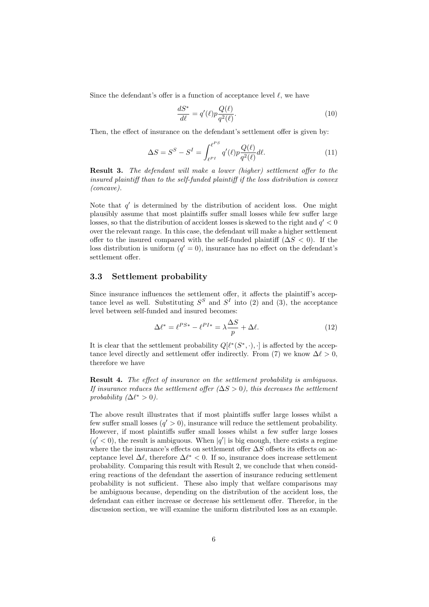Since the defendant's offer is a function of acceptance level  $\ell$ , we have

$$
\frac{dS^*}{d\ell} = q'(\ell)p\frac{Q(\ell)}{q^2(\ell)}.\tag{10}
$$

Then, the effect of insurance on the defendant's settlement offer is given by:

$$
\Delta S = S^S - S^I = \int_{\ell^{PI}}^{\ell^{PS}} q'(\ell) p \frac{Q(\ell)}{q^2(\ell)} d\ell.
$$
 (11)

**Result 3.** The defendant will make a lower (higher) settlement offer to the insured plaintiff than to the self-funded plaintiff if the loss distribution is convex (concave).

Note that  $q'$  is determined by the distribution of accident loss. One might plausibly assume that most plaintiffs suffer small losses while few suffer large losses, so that the distribution of accident losses is skewed to the right and  $q' < 0$ over the relevant range. In this case, the defendant will make a higher settlement offer to the insured compared with the self-funded plaintiff  $(\Delta S < 0)$ . If the loss distribution is uniform  $(q' = 0)$ , insurance has no effect on the defendant's settlement offer.

### 3.3 Settlement probability

Since insurance influences the settlement offer, it affects the plaintiff's acceptance level as well. Substituting  $S^S$  and  $S^I$  into (2) and (3), the acceptance level between self-funded and insured becomes:

$$
\Delta \ell^* = \ell^{PS*} - \ell^{PI*} = \lambda \frac{\Delta S}{p} + \Delta \ell. \tag{12}
$$

It is clear that the settlement probability  $Q[\ell^*(S^*,\cdot),\cdot]$  is affected by the acceptance level directly and settlement offer indirectly. From (7) we know  $\Delta \ell > 0$ , therefore we have

**Result 4.** The effect of insurance on the settlement probability is ambiguous. If insurance reduces the settlement offer  $(\Delta S > 0)$ , this decreases the settlement probability  $(\Delta \ell^* > 0)$ .

The above result illustrates that if most plaintiffs suffer large losses whilst a few suffer small losses  $(q' > 0)$ , insurance will reduce the settlement probability. However, if most plaintiffs suffer small losses whilst a few suffer large losses  $(q' < 0)$ , the result is ambiguous. When  $|q'|$  is big enough, there exists a regime where the the insurance's effects on settlement offer  $\Delta S$  offsets its effects on acceptance level  $\Delta \ell$ , therefore  $\Delta \ell^* < 0$ . If so, insurance does increase settlement probability. Comparing this result with Result 2, we conclude that when considering reactions of the defendant the assertion of insurance reducing settlement probability is not sufficient. These also imply that welfare comparisons may be ambiguous because, depending on the distribution of the accident loss, the defendant can either increase or decrease his settlement offer. Therefor, in the discussion section, we will examine the uniform distributed loss as an example.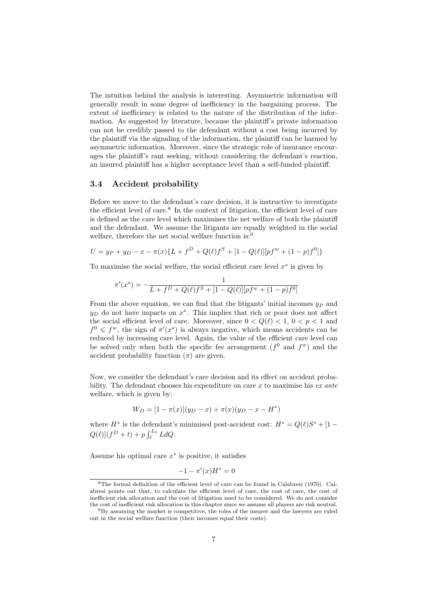The intuition behind the analysis is interesting. Asymmetric information will generally result in some degree of inefficiency in the bargaining process. The extent of inefficiency is related to the nature of the distribution of the information. As suggested by literature, because the plaintiff's private information can not be credibly passed to the defendant without a cost being incurred by the plaintiff via the signaling of the information, the plaintiff can be harmed by asymmetric information. Moreover, since the strategic role of insurance encourages the plaintiff's rant seeking, without considering the defendant's reaction, an insured plaintiff has a higher acceptance level than a self-funded plaintiff.

### 3.4 Accident probability

Before we move to the defendant's care decision, it is instructive to investigate the efficient level of care.<sup>8</sup> In the context of litigation, the efficient level of care is defined as the care level which maximises the net welfare of both the plaintiff and the defendant. We assume the litigants are equally weighted in the social welfare, therefore the net social welfare function is:<sup>9</sup>

$$
U = y_P + y_D - x - \pi(x)\{L + f^D + Q(\ell)f^S + [1 - Q(\ell)][pf^w + (1 - p)f^0]\}
$$

To maximise the social welfare, the social efficient care level  $x<sup>s</sup>$  is given by

$$
\pi'(x^s) = -\frac{1}{L + f^D + Q(\ell)f^S + [1 - Q(\ell)][pf^w + (1 - p)f^0]}
$$

From the above equation, we can find that the litigants' initial incomes  $y_P$  and  $y_D$  do not have impacts on  $x<sup>s</sup>$ . This implies that rich or poor does not affect the social efficient level of care. Moreover, since  $0 < Q(\ell) < 1, 0 < p < 1$  and  $f^0 \n\leq f^w$ , the sign of  $\pi'(x^s)$  is always negative, which means accidents can be reduced by increasing care level. Again, the value of the efficient care level can be solved only when both the specific fee arrangement  $(f^0$  and  $f^w$ ) and the accident probability function  $(\pi)$  are given.

Now, we consider the defendant's care decision and its effect on accident probability. The defendant chooses his expenditure on care  $x$  to maximise his  $ex$  ante welfare, which is given by:

$$
W_D = [1 - \pi(x)](y_D - x) + \pi(x)(y_D - x - H^*)
$$

where  $H^*$  is the defendant's minimised post-accident cost:  $H^* = Q(\ell)S^* + [1$ where  $H$  is the deferment  $Q(\ell)|(f^D + t) + p \int_{\ell}^{L_1}$  $\int_{\ell}^{L_1} L dQ.$ 

Assume his optimal care  $x^*$  is positive, it satisfies

$$
-1 - \pi'(x)H^* = 0
$$

<sup>8</sup>The formal definition of the efficient level of care can be found in Calabresi (1970). Calabresi points out that, to calculate the efficient level of care, the cost of care, the cost of inefficient risk allocation and the cost of litigation need to be considered. We do not consider the cost of inefficient risk allocation in this chapter since we assume all players are risk neutral.

<sup>9</sup>By assuming the market is competitive, the roles of the insurer and the lawyers are ruled out in the social welfare function (their incomes equal their costs).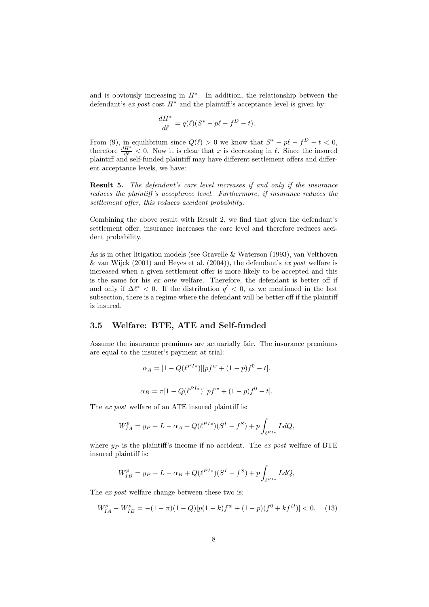and is obviously increasing in  $H^*$ . In addition, the relationship between the defendant's ex post cost  $H^*$  and the plaintiff's acceptance level is given by:

$$
\frac{dH^*}{d\ell} = q(\ell)(S^* - p\ell - f^D - t).
$$

From (9), in equilibrium since  $Q(\ell) > 0$  we know that  $S^* - p\ell - f^D - t < 0$ , therefore  $\frac{dH^*}{d\ell} < 0$ . Now it is clear that x is decreasing in  $\ell$ . Since the insured plaintiff and self-funded plaintiff may have different settlement offers and different acceptance levels, we have:

Result 5. The defendant's care level increases if and only if the insurance reduces the plaintiff 's acceptance level. Furthermore, if insurance reduces the settlement offer, this reduces accident probability.

Combining the above result with Result 2, we find that given the defendant's settlement offer, insurance increases the care level and therefore reduces accident probability.

As is in other litigation models (see Gravelle & Waterson (1993), van Velthoven & van Wijck (2001) and Heyes et al. (2004)), the defendant's  $ex$  post welfare is increased when a given settlement offer is more likely to be accepted and this is the same for his ex ante welfare. Therefore, the defendant is better off if and only if  $\Delta \ell^* < 0$ . If the distribution  $q' < 0$ , as we mentioned in the last subsection, there is a regime where the defendant will be better off if the plaintiff is insured.

### 3.5 Welfare: BTE, ATE and Self-funded

Assume the insurance premiums are actuarially fair. The insurance premiums are equal to the insurer's payment at trial:

$$
\alpha_A = [1 - Q(\ell^{PI*})][pf^w + (1 - p)f^0 - t].
$$
  

$$
\alpha_B = \pi [1 - Q(\ell^{PI*})][pf^w + (1 - p)f^0 - t].
$$

The ex post welfare of an ATE insured plaintiff is:

$$
W_{IA}^p = y_P - L - \alpha_A + Q(\ell^{PI*})(S^I - f^S) + p \int_{\ell^{PI*}} L dQ,
$$

where  $y_P$  is the plaintiff's income if no accident. The ex post welfare of BTE insured plaintiff is:

$$
W_{IB}^p = y_P - L - \alpha_B + Q(\ell^{PI*})(S^I - f^S) + p \int_{\ell^{PI*}} L dQ,
$$

The ex post welfare change between these two is:

$$
W_{IA}^p - W_{IB}^p = -(1 - \pi)(1 - Q)[p(1 - k)f^w + (1 - p)(f^0 + kf^D)] < 0. \tag{13}
$$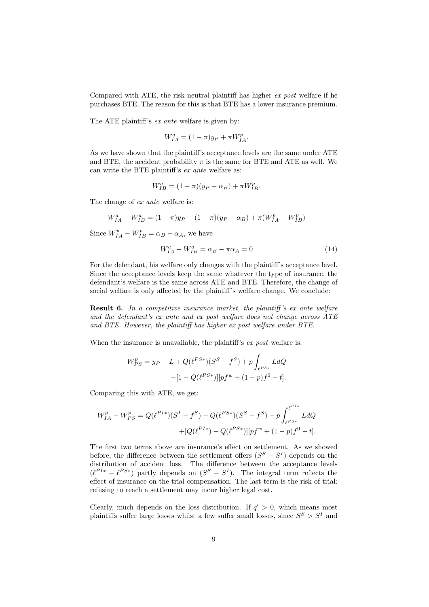Compared with ATE, the risk neutral plaintiff has higher ex post welfare if he purchases BTE. The reason for this is that BTE has a lower insurance premium.

The ATE plaintiff's ex ante welfare is given by:

$$
W_{IA}^a = (1 - \pi)y_P + \pi W_{IA}^p.
$$

As we have shown that the plaintiff's acceptance levels are the same under ATE and BTE, the accident probability  $\pi$  is the same for BTE and ATE as well. We can write the BTE plaintiff's ex ante welfare as:

$$
W_{IB}^a = (1 - \pi)(y_P - \alpha_B) + \pi W_{IB}^p.
$$

The change of *ex ante* welfare is:

$$
W_{IA}^a - W_{IB}^a = (1 - \pi)y_P - (1 - \pi)(y_P - \alpha_B) + \pi(W_{IA}^p - W_{IB}^p)
$$

Since  $W_{IA}^p - W_{IB}^p = \alpha_B - \alpha_A$ , we have

$$
W_{IA}^a - W_{IB}^a = \alpha_B - \pi \alpha_A = 0 \tag{14}
$$

For the defendant, his welfare only changes with the plaintiff's acceptance level. Since the acceptance levels keep the same whatever the type of insurance, the defendant's welfare is the same across ATE and BTE. Therefore, the change of social welfare is only affected by the plaintiff's welfare change. We conclude:

**Result 6.** In a competitive insurance market, the plaintiff's ex ante welfare and the defendant's ex ante and ex post welfare does not change across ATE and BTE. However, the plaintiff has higher ex post welfare under BTE.

When the insurance is unavailable, the plaintiff's  $ex$  post welfare is:

$$
W_{PS}^p = y_P - L + Q(\ell^{PS*})(S^S - f^S) + p \int_{\ell^{PS*}} L dQ
$$

$$
-[1 - Q(\ell^{PS*})][pf^w + (1 - p)f^0 - t].
$$

Comparing this with ATE, we get:

$$
W_{IA}^{p} - W_{PS}^{p} = Q(\ell^{PI*})(S^{I} - f^{S}) - Q(\ell^{PS*})(S^{S} - f^{S}) - p \int_{\ell^{PS*}}^{\ell^{PI*}} L dQ
$$
  
+ 
$$
[Q(\ell^{PI*}) - Q(\ell^{PS*})][pf^{w} + (1-p)f^{0} - t].
$$

The first two terms above are insurance's effect on settlement. As we showed before, the difference between the settlement offers  $(S^S - S^I)$  depends on the distribution of accident loss. The difference between the acceptance levels  $(\ell^{PI*} - \ell^{PS*})$  partly depends on  $(S^S - S^I)$ . The integral term reflects the effect of insurance on the trial compensation. The last term is the risk of trial: refusing to reach a settlement may incur higher legal cost.

Clearly, much depends on the loss distribution. If  $q' > 0$ , which means most plaintiffs suffer large losses whilst a few suffer small losses, since  $S^S > S^I$  and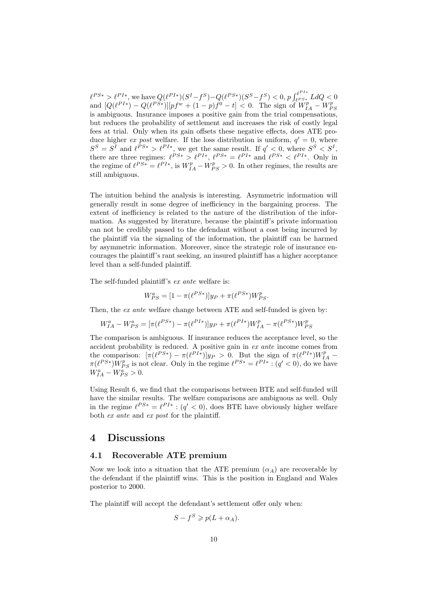$\ell^{PS*} > \ell^{PI*}$ , we have  $Q(\ell^{PI*})(S^I - f^S) - Q(\ell^{PS*})(S^S - f^S) < 0$ ,  $p \int_{\ell^{PS*}}^{\ell^{PI*}} L dQ < 0$ and  $[Q(\ell^{PI*}) - Q(\ell^{PS*})][pf^{w} + (1-p)f^{0} - t] < 0$ . The sign of  $W_{IA}^{p} - W_{PS}^{p}$ is ambiguous. Insurance imposes a positive gain from the trial compensations, but reduces the probability of settlement and increases the risk of costly legal fees at trial. Only when its gain offsets these negative effects, does ATE produce higher ex post welfare. If the loss distribution is uniform,  $q' = 0$ , where  $S^S = S^I$  and  $\ell^{PS*} > \ell^{PI*}$ , we get the same result. If  $q' < 0$ , where  $S^S < S^I$ , there are three regimes:  $\ell^{PS*} > \ell^{PI*}, \ell^{PS*} = \ell^{PI*}$  and  $\ell^{PS*} < \ell^{PI*}$ . Only in the regime of  $\ell^{PS*} = \ell^{PI*}$ , is  $W_{IA}^p - W_{PS}^p > 0$ . In other regimes, the results are still ambiguous.

The intuition behind the analysis is interesting. Asymmetric information will generally result in some degree of inefficiency in the bargaining process. The extent of inefficiency is related to the nature of the distribution of the information. As suggested by literature, because the plaintiff's private information can not be credibly passed to the defendant without a cost being incurred by the plaintiff via the signaling of the information, the plaintiff can be harmed by asymmetric information. Moreover, since the strategic role of insurance encourages the plaintiff's rant seeking, an insured plaintiff has a higher acceptance level than a self-funded plaintiff.

The self-funded plaintiff's ex ante welfare is:

$$
W_{PS}^a = [1 - \pi(\ell^{PS*})]y_P + \pi(\ell^{PS*})W_{PS}^p.
$$

Then, the ex ante welfare change between ATE and self-funded is given by:

$$
W_{IA}^a - W_{PS}^a = [\pi(\ell^{PS*}) - \pi(\ell^{PI*})]y_P + \pi(\ell^{PI*})W_{IA}^p - \pi(\ell^{PS*})W_{PS}^p
$$

The comparison is ambiguous. If insurance reduces the acceptance level, so the accident probability is reduced. A positive gain in ex ante income comes from the comparison:  $[\pi(\ell^{PS*}) - \pi(\ell^{PI*})]y_P > 0$ . But the sign of  $\pi(\ell^{PI*})W_{IA}^p$  $\pi(\ell^{PS*})W_{PS}^p$  is not clear. Only in the regime  $\ell^{PS*} = \ell^{PI*}$ :  $(q' < 0)$ , do we have  $W_{IA}^a - W_{PS}^a > 0.$ 

Using Result 6, we find that the comparisons between BTE and self-funded will have the similar results. The welfare comparisons are ambiguous as well. Only in the regime  $\ell^{PS*} = \ell^{PI*} : (q' < 0)$ , does BTE have obviously higher welfare both ex ante and ex post for the plaintiff.

### 4 Discussions

### 4.1 Recoverable ATE premium

Now we look into a situation that the ATE premium  $(\alpha_A)$  are recoverable by the defendant if the plaintiff wins. This is the position in England and Wales posterior to 2000.

The plaintiff will accept the defendant's settlement offer only when:

$$
S - f^S \geqslant p(L + \alpha_A).
$$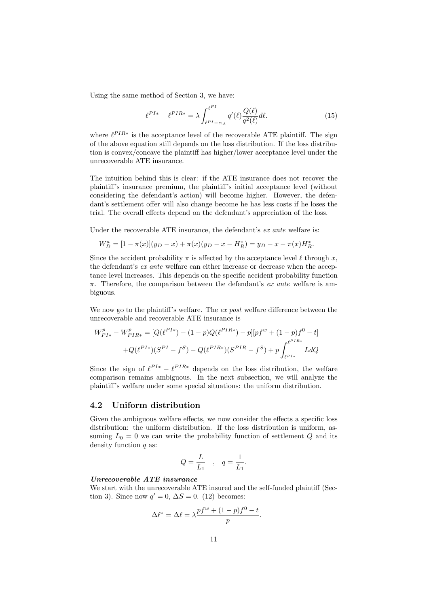Using the same method of Section 3, we have:

$$
\ell^{PI*} - \ell^{PIR*} = \lambda \int_{\ell^{PI} - \alpha_A}^{\ell^{PI}} q'(\ell) \frac{Q(\ell)}{q^2(\ell)} d\ell.
$$
 (15)

where  $\ell^{PIR*}$  is the acceptance level of the recoverable ATE plaintiff. The sign of the above equation still depends on the loss distribution. If the loss distribution is convex/concave the plaintiff has higher/lower acceptance level under the unrecoverable ATE insurance.

The intuition behind this is clear: if the ATE insurance does not recover the plaintiff's insurance premium, the plaintiff's initial acceptance level (without considering the defendant's action) will become higher. However, the defendant's settlement offer will also change become he has less costs if he loses the trial. The overall effects depend on the defendant's appreciation of the loss.

Under the recoverable ATE insurance, the defendant's ex ante welfare is:

$$
W_D^a = [1 - \pi(x)](y_D - x) + \pi(x)(y_D - x - H_R^*) = y_D - x - \pi(x)H_R^*.
$$

Since the accident probability  $\pi$  is affected by the acceptance level  $\ell$  through x, the defendant's ex ante welfare can either increase or decrease when the acceptance level increases. This depends on the specific accident probability function  $\pi$ . Therefore, the comparison between the defendant's *ex ante* welfare is ambiguous.

We now go to the plaintiff's welfare. The ex post welfare difference between the unrecoverable and recoverable ATE insurance is

$$
W_{PI*}^{p} - W_{PIR*}^{p} = [Q(\ell^{PI*}) - (1 - p)Q(\ell^{PIR*}) - p][pf^{w} + (1 - p)f^{0} - t]
$$
  
+
$$
Q(\ell^{PI*})(S^{PI} - f^{S}) - Q(\ell^{PIR*})(S^{PIR} - f^{S}) + p \int_{\ell^{PI*}}^{\ell^{PIR*}} L dQ
$$

Since the sign of  $\ell^{PI*} - \ell^{PIR*}$  depends on the loss distribution, the welfare comparison remains ambiguous. In the next subsection, we will analyze the plaintiff's welfare under some special situations: the uniform distribution.

### 4.2 Uniform distribution

Given the ambiguous welfare effects, we now consider the effects a specific loss distribution: the uniform distribution. If the loss distribution is uniform, assuming  $L_0 = 0$  we can write the probability function of settlement Q and its density function  $q$  as:

$$
Q = \frac{L}{L_1} \quad , \quad q = \frac{1}{L_1}.
$$

### Unrecoverable ATE insurance

We start with the unrecoverable ATE insured and the self-funded plaintiff (Section 3). Since now  $q' = 0$ ,  $\Delta S = 0$ . (12) becomes:

$$
\Delta \ell^* = \Delta \ell = \lambda \frac{p f^w + (1-p) f^0 - t}{p}.
$$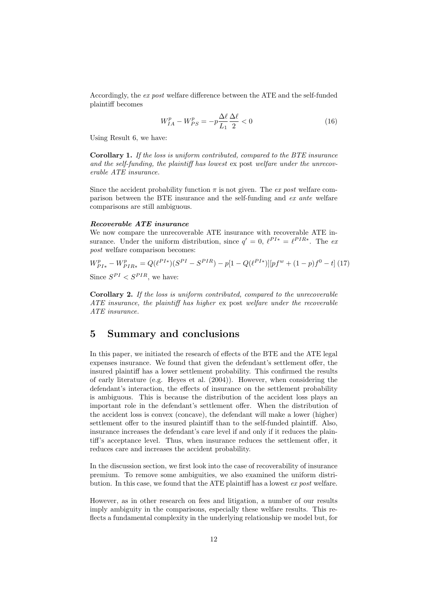Accordingly, the ex post welfare difference between the ATE and the self-funded plaintiff becomes

$$
W_{IA}^p - W_{PS}^p = -p\frac{\Delta\ell}{L_1} \frac{\Delta\ell}{2} < 0 \tag{16}
$$

Using Result 6, we have:

Corollary 1. If the loss is uniform contributed, compared to the BTE insurance and the self-funding, the plaintiff has lowest ex post welfare under the unrecoverable ATE insurance.

Since the accident probability function  $\pi$  is not given. The ex post welfare comparison between the BTE insurance and the self-funding and ex ante welfare comparisons are still ambiguous.

#### Recoverable ATE insurance

We now compare the unrecoverable ATE insurance with recoverable ATE insurance. Under the uniform distribution, since  $q' = 0$ ,  $\ell^{PI*} = \ell^{PIR*}$ . The expost welfare comparison becomes:

$$
W_{PI*}^p - W_{PIR*}^p = Q(\ell^{PI*})(S^{PI} - S^{PIR}) - p[1 - Q(\ell^{PI*})][pf^w + (1 - p)f^0 - t] (17)
$$
  
Since  $S^{PI} < S^{PIR}$ , we have:

Corollary 2. If the loss is uniform contributed, compared to the unrecoverable ATE insurance, the plaintiff has higher ex post welfare under the recoverable ATE insurance.

### 5 Summary and conclusions

In this paper, we initiated the research of effects of the BTE and the ATE legal expenses insurance. We found that given the defendant's settlement offer, the insured plaintiff has a lower settlement probability. This confirmed the results of early literature (e.g. Heyes et al. (2004)). However, when considering the defendant's interaction, the effects of insurance on the settlement probability is ambiguous. This is because the distribution of the accident loss plays an important role in the defendant's settlement offer. When the distribution of the accident loss is convex (concave), the defendant will make a lower (higher) settlement offer to the insured plaintiff than to the self-funded plaintiff. Also, insurance increases the defendant's care level if and only if it reduces the plaintiff's acceptance level. Thus, when insurance reduces the settlement offer, it reduces care and increases the accident probability.

In the discussion section, we first look into the case of recoverability of insurance premium. To remove some ambiguities, we also examined the uniform distribution. In this case, we found that the ATE plaintiff has a lowest ex post welfare.

However, as in other research on fees and litigation, a number of our results imply ambiguity in the comparisons, especially these welfare results. This reflects a fundamental complexity in the underlying relationship we model but, for